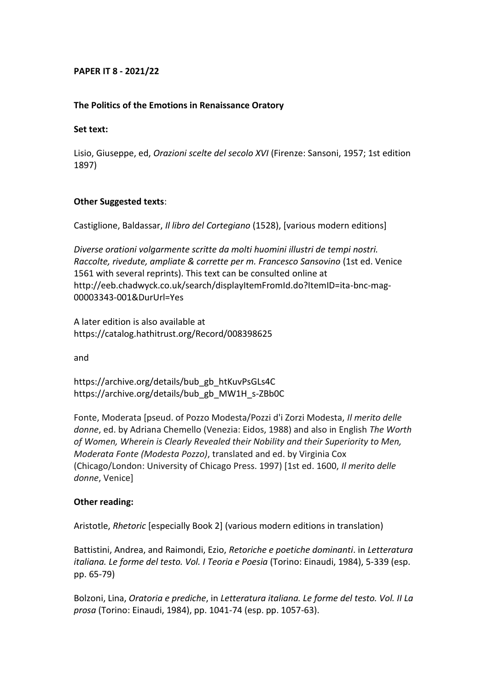# **PAPER IT 8 - 2021/22**

## **The Politics of the Emotions in Renaissance Oratory**

### **Set text:**

Lisio, Giuseppe, ed, *Orazioni scelte del secolo XVI* (Firenze: Sansoni, 1957; 1st edition 1897)

### **Other Suggested texts**:

Castiglione, Baldassar, *Il libro del Cortegiano* (1528), [various modern editions]

*Diverse orationi volgarmente scritte da molti huomini illustri de tempi nostri. Raccolte, rivedute, ampliate & corrette per m. Francesco Sansovino* (1st ed. Venice 1561 with several reprints). This text can be consulted online at http://eeb.chadwyck.co.uk/search/displayItemFromId.do?ItemID=ita-bnc-mag-00003343-001&DurUrl=Yes

A later edition is also available at https://catalog.hathitrust.org/Record/008398625

and

https://archive.org/details/bub\_gb\_htKuvPsGLs4C https://archive.org/details/bub\_gb\_MW1H\_s-ZBb0C

Fonte, Moderata [pseud. of Pozzo Modesta/Pozzi d'i Zorzi Modesta, *Il merito delle donne*, ed. by Adriana Chemello (Venezia: Eidos, 1988) and also in English *The Worth of Women, Wherein is Clearly Revealed their Nobility and their Superiority to Men, Moderata Fonte (Modesta Pozzo)*, translated and ed. by Virginia Cox (Chicago/London: University of Chicago Press. 1997) [1st ed. 1600, *Il merito delle donne*, Venice]

## **Other reading:**

Aristotle, *Rhetoric* [especially Book 2] (various modern editions in translation)

Battistini, Andrea, and Raimondi, Ezio, *Retoriche e poetiche dominanti*. in *Letteratura italiana. Le forme del testo. Vol. I Teoria e Poesia* (Torino: Einaudi, 1984), 5-339 (esp. pp. 65-79)

Bolzoni, Lina, *Oratoria e prediche*, in *Letteratura italiana. Le forme del testo. Vol. II La prosa* (Torino: Einaudi, 1984), pp. 1041-74 (esp. pp. 1057-63).